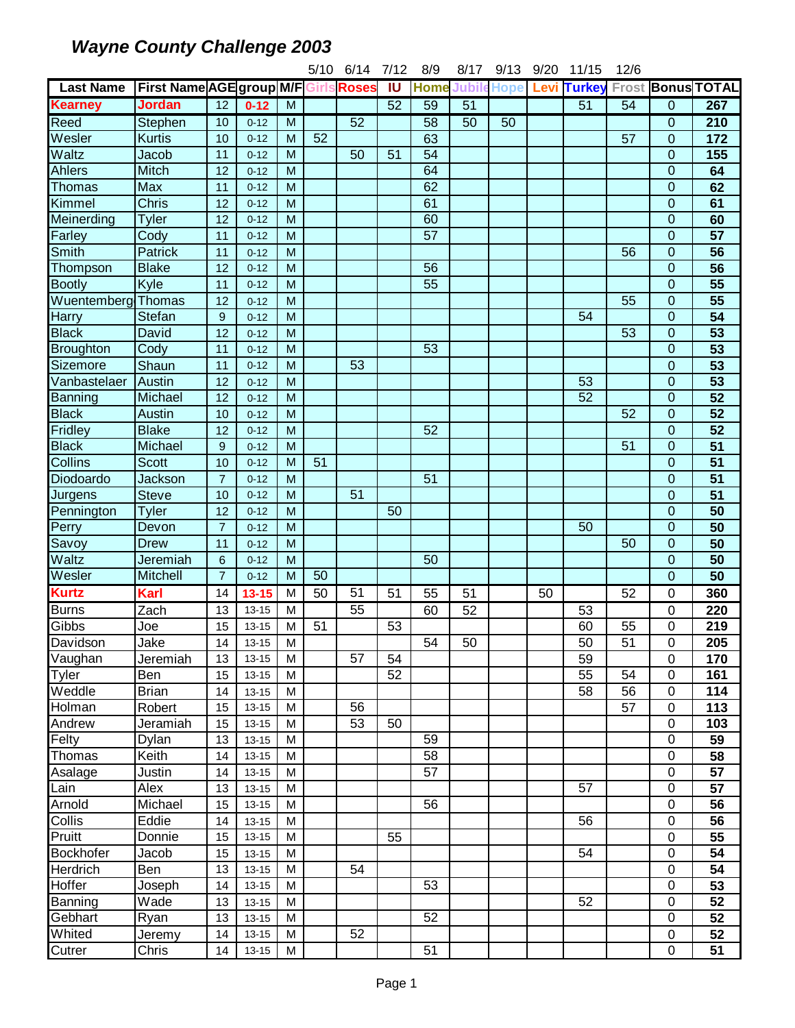|                               |                                             |                  |           |                | 5/10 | 6/14            | 7/12 | 8/9               | 8/17 | 9/13            | 9/20 | 11/15           | 12/6            |                          |                  |
|-------------------------------|---------------------------------------------|------------------|-----------|----------------|------|-----------------|------|-------------------|------|-----------------|------|-----------------|-----------------|--------------------------|------------------|
| <b>Last Name</b>              | <b>First Name AGE group M/F Girls Roses</b> |                  |           |                |      |                 | IU   | <b>Home Jubil</b> |      | <b>Hope</b>     | Levi | <b>Turkey</b>   |                 | <b>Frost Bonus TOTAL</b> |                  |
| <b>Kearney</b>                | <b>Jordan</b>                               | $\overline{12}$  | $0 - 12$  | M              |      |                 | 52   | 59                | 51   |                 |      | 51              | 54              | 0                        | 267              |
| Reed                          | Stephen                                     | 10               | $0 - 12$  | $\overline{M}$ |      | 52              |      | 58                | 50   | $\overline{50}$ |      |                 |                 | 0                        | $\overline{210}$ |
| Wesler                        | <b>Kurtis</b>                               | 10               | $0 - 12$  | M              | 52   |                 |      | 63                |      |                 |      |                 | 57              | 0                        | 172              |
| Waltz                         | Jacob                                       | 11               | $0 - 12$  | M              |      | 50              | 51   | 54                |      |                 |      |                 |                 | 0                        | 155              |
| <b>Ahlers</b>                 | Mitch                                       | 12               | $0 - 12$  | M              |      |                 |      | 64                |      |                 |      |                 |                 | $\overline{0}$           | 64               |
| Thomas                        | <b>Max</b>                                  | 11               | $0 - 12$  | M              |      |                 |      | 62                |      |                 |      |                 |                 | 0                        | 62               |
| Kimmel                        | Chris                                       | 12               | $0 - 12$  | M              |      |                 |      | 61                |      |                 |      |                 |                 | $\overline{0}$           | 61               |
| Meinerding                    | Tyler                                       | 12               | $0 - 12$  | M              |      |                 |      | 60                |      |                 |      |                 |                 | $\mathbf 0$              | 60               |
| Farley                        | Cody                                        | 11               | $0 - 12$  | M              |      |                 |      | 57                |      |                 |      |                 |                 | 0                        | 57               |
| Smith                         | Patrick                                     | 11               | $0 - 12$  | M              |      |                 |      |                   |      |                 |      |                 | 56              | $\mathbf 0$              | 56               |
| Thompson                      | <b>Blake</b>                                | 12               | $0 - 12$  | M              |      |                 |      | 56                |      |                 |      |                 |                 | $\mathbf 0$              | $\overline{56}$  |
| <b>Bootly</b>                 | Kyle                                        | 11               | $0 - 12$  | M              |      |                 |      | 55                |      |                 |      |                 |                 | $\mathbf 0$              | 55               |
| Wuentemberg Thomas            |                                             | 12               | $0 - 12$  | M              |      |                 |      |                   |      |                 |      |                 | 55              | $\mathbf 0$              | 55               |
| <b>Harry</b>                  | Stefan                                      | $\boldsymbol{9}$ | $0 - 12$  | M              |      |                 |      |                   |      |                 |      | 54              |                 | $\mathbf 0$              | $\overline{54}$  |
| <b>Black</b>                  | David                                       | 12               | $0 - 12$  | M              |      |                 |      |                   |      |                 |      |                 | 53              | 0                        | 53               |
| Broughton                     | Cody                                        | 11               | $0 - 12$  | M              |      |                 |      | 53                |      |                 |      |                 |                 | $\mathbf 0$              | $\overline{53}$  |
| Sizemore                      | Shaun                                       | 11               | $0 - 12$  | $\overline{M}$ |      | 53              |      |                   |      |                 |      |                 |                 | $\overline{0}$           | $\overline{53}$  |
| Vanbastelaer                  | Austin                                      | 12               | $0 - 12$  | M              |      |                 |      |                   |      |                 |      | $\overline{53}$ |                 | $\overline{0}$           | 53               |
| <b>Banning</b>                | Michael                                     | 12               | $0 - 12$  | M              |      |                 |      |                   |      |                 |      | 52              |                 | $\overline{0}$           | $\overline{52}$  |
| <b>Black</b>                  | Austin                                      | 10               | $0 - 12$  | M              |      |                 |      |                   |      |                 |      |                 | 52              | $\overline{0}$           | $\overline{52}$  |
| Fridley                       | <b>Blake</b>                                | 12               | $0 - 12$  | M              |      |                 |      | 52                |      |                 |      |                 |                 | 0                        | $\overline{52}$  |
| <b>Black</b>                  | Michael                                     | $\boldsymbol{9}$ | $0 - 12$  | M              |      |                 |      |                   |      |                 |      |                 | $\overline{51}$ | $\overline{0}$           | $\overline{51}$  |
| Collins                       | <b>Scott</b>                                | 10               | $0 - 12$  | M              | 51   |                 |      |                   |      |                 |      |                 |                 | $\mathbf 0$              | $\overline{51}$  |
| Diodoardo                     | <b>Jackson</b>                              | $\overline{7}$   | $0 - 12$  | M              |      |                 |      | 51                |      |                 |      |                 |                 | $\mathbf 0$              | $\overline{51}$  |
| Jurgens                       | <b>Steve</b>                                | 10               | $0 - 12$  | M              |      | 51              |      |                   |      |                 |      |                 |                 | $\overline{0}$           | 51               |
| Pennington                    | Tyler                                       | 12               | $0 - 12$  | M              |      |                 | 50   |                   |      |                 |      |                 |                 | $\mathbf 0$              | 50               |
| Perry                         | Devon                                       | $\overline{7}$   | $0 - 12$  | M              |      |                 |      |                   |      |                 |      | 50              |                 | 0                        | 50               |
| Savoy                         | <b>Drew</b>                                 | 11               | $0 - 12$  | M              |      |                 |      |                   |      |                 |      |                 | 50              | $\overline{0}$           | 50               |
| Waltz                         | Jeremiah                                    | $6\phantom{1}6$  | $0 - 12$  | M              |      |                 |      | 50                |      |                 |      |                 |                 | $\mathbf 0$              | $\overline{50}$  |
| $\overline{\mathsf{W}}$ esler | Mitchell                                    | $\overline{7}$   | $0 - 12$  | M              | 50   |                 |      |                   |      |                 |      |                 |                 | $\overline{0}$           | 50               |
| <b>Kurtz</b>                  | Karl                                        | 14               | $13 - 15$ | M              | 50   | $\overline{51}$ | 51   | 55                | 51   |                 | 50   |                 | 52              | 0                        | 360              |
| <b>Burns</b>                  | Zach                                        | 13               | $13 - 15$ | M              |      | 55              |      | 60                | 52   |                 |      | 53              |                 | 0                        | 220              |
| Gibbs                         | Joe                                         | 15               | $13 - 15$ | M              | 51   |                 | 53   |                   |      |                 |      | 60              | 55              | 0                        | 219              |
| Davidson                      | Jake                                        | 14               | $13 - 15$ | M              |      |                 |      | 54                | 50   |                 |      | 50              | 51              | 0                        | 205              |
| Vaughan                       | Jeremiah                                    | 13               | $13 - 15$ | M              |      | 57              | 54   |                   |      |                 |      | 59              |                 | 0                        | 170              |
| $\overline{Ty}$ ler           | Ben                                         | 15               | $13 - 15$ | M              |      |                 | 52   |                   |      |                 |      | 55              | 54              | 0                        | 161              |
| Weddle                        | <b>Brian</b>                                | 14               | $13 - 15$ | M              |      |                 |      |                   |      |                 |      | 58              | 56              | 0                        | 114              |
| Holman                        | Robert                                      | 15               | $13 - 15$ | M              |      | 56              |      |                   |      |                 |      |                 | 57              | $\mathbf 0$              | 113              |
| Andrew                        | Jeramiah                                    | 15               | $13 - 15$ | M              |      | 53              | 50   |                   |      |                 |      |                 |                 | 0                        | 103              |
| Felty                         | Dylan                                       | 13               | $13 - 15$ | M              |      |                 |      | 59                |      |                 |      |                 |                 | 0                        | 59               |
| Thomas                        | Keith                                       | 14               | $13 - 15$ | M              |      |                 |      | 58                |      |                 |      |                 |                 | 0                        | 58               |
| Asalage                       | Justin                                      | 14               | $13 - 15$ | M              |      |                 |      | 57                |      |                 |      |                 |                 | 0                        | 57               |
| Lain                          | Alex                                        | 13               | $13 - 15$ | M              |      |                 |      |                   |      |                 |      | 57              |                 | 0                        | 57               |
| Arnold                        | Michael                                     | 15               | $13 - 15$ | M              |      |                 |      | 56                |      |                 |      |                 |                 | 0                        | 56               |
| Collis                        | Eddie                                       | 14               | $13 - 15$ | M              |      |                 |      |                   |      |                 |      | 56              |                 | 0                        | 56               |
| Pruitt                        | Donnie                                      | 15               | $13 - 15$ | M              |      |                 | 55   |                   |      |                 |      |                 |                 | 0                        | 55               |
| Bockhofer                     | Jacob                                       | 15               | $13 - 15$ | M              |      |                 |      |                   |      |                 |      | 54              |                 | 0                        | 54               |
| Herdrich                      | Ben                                         | 13               | $13 - 15$ | M              |      | 54              |      |                   |      |                 |      |                 |                 | 0                        | 54               |
| Hoffer                        | Joseph                                      | 14               | $13 - 15$ | M              |      |                 |      | 53                |      |                 |      |                 |                 | 0                        | 53               |
| Banning                       | Wade                                        | 13               | $13 - 15$ | M              |      |                 |      |                   |      |                 |      | 52              |                 | 0                        | 52               |
| Gebhart                       | Ryan                                        | 13               | $13 - 15$ | M              |      |                 |      | 52                |      |                 |      |                 |                 | 0                        | 52               |
| Whited                        | Jeremy                                      | 14               | $13 - 15$ | M              |      | 52              |      |                   |      |                 |      |                 |                 | 0                        | 52               |
| Cutrer                        | Chris                                       | 14               | $13 - 15$ | M              |      |                 |      | 51                |      |                 |      |                 |                 | 0                        | 51               |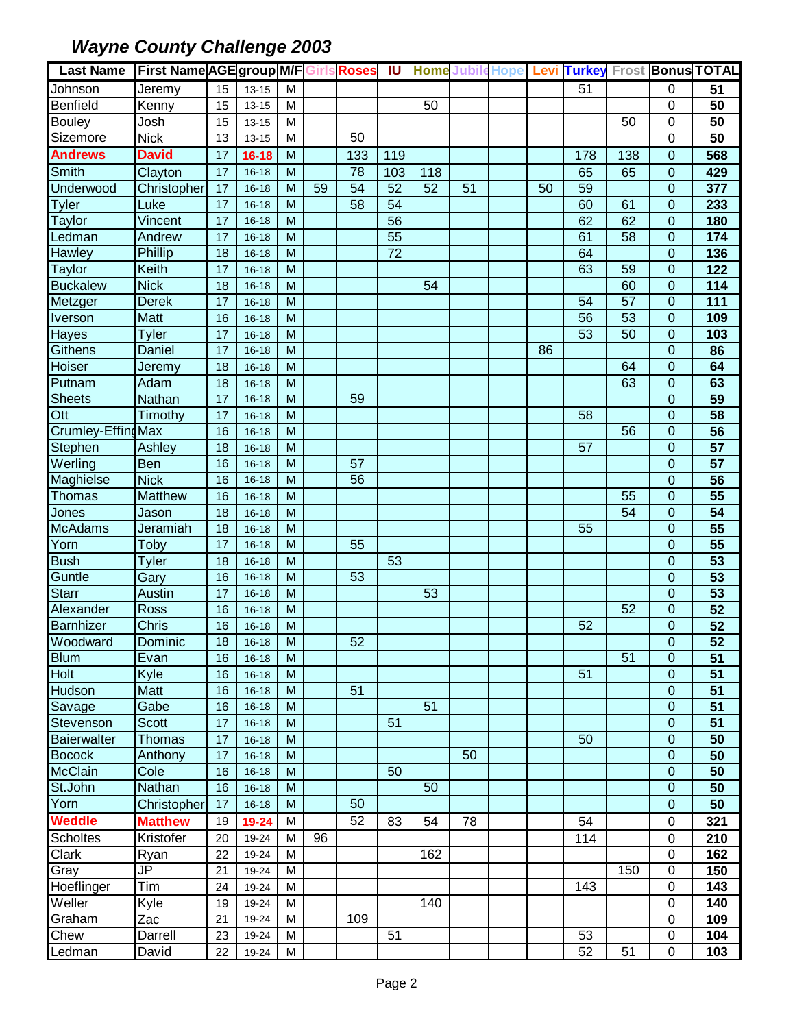| <b>Last Name</b>   | <b>First Name AGE group M/F Girls Roses IU</b> |    |           |                |    |     |     |     |    |    |                 |                 |                | Home Jubile Hope Levi Turkey Frost Bonus TOTAL |
|--------------------|------------------------------------------------|----|-----------|----------------|----|-----|-----|-----|----|----|-----------------|-----------------|----------------|------------------------------------------------|
| Johnson            | Jeremy                                         | 15 | $13 - 15$ | M              |    |     |     |     |    |    | 51              |                 | 0              | 51                                             |
| Benfield           | Kenny                                          | 15 | $13 - 15$ | M              |    |     |     | 50  |    |    |                 |                 | $\mathbf 0$    | 50                                             |
| <b>Bouley</b>      | Josh                                           | 15 | $13 - 15$ | M              |    |     |     |     |    |    |                 | 50              | $\overline{0}$ | 50                                             |
| Sizemore           | <b>Nick</b>                                    | 13 | $13 - 15$ | M              |    | 50  |     |     |    |    |                 |                 | $\mathbf 0$    | 50                                             |
| <b>Andrews</b>     | <b>David</b>                                   | 17 | $16 - 18$ | M              |    | 133 | 119 |     |    |    | 178             | 138             | $\mathbf 0$    | 568                                            |
| <b>Smith</b>       | Clayton                                        | 17 | $16 - 18$ | $\overline{M}$ |    | 78  | 103 | 118 |    |    | 65              | 65              | 0              | 429                                            |
| Underwood          | Christopher                                    | 17 | $16 - 18$ | M              | 59 | 54  | 52  | 52  | 51 | 50 | 59              |                 | 0              | 377                                            |
| <b>Tyler</b>       | Luke                                           | 17 | $16 - 18$ | M              |    | 58  | 54  |     |    |    | 60              | 61              | $\overline{0}$ | 233                                            |
| Taylor             | Vincent                                        | 17 | $16 - 18$ | M              |    |     | 56  |     |    |    | 62              | 62              | $\mathbf 0$    | 180                                            |
| Ledman             | Andrew                                         | 17 | $16 - 18$ | M              |    |     | 55  |     |    |    | 61              | 58              | $\mathbf 0$    | 174                                            |
| <b>Hawley</b>      | Phillip                                        | 18 | $16 - 18$ | M              |    |     | 72  |     |    |    | 64              |                 | $\overline{0}$ | 136                                            |
| Taylor             | Keith                                          | 17 | $16 - 18$ | M              |    |     |     |     |    |    | 63              | 59              | $\overline{0}$ | 122                                            |
| <b>Buckalew</b>    | <b>Nick</b>                                    | 18 | $16 - 18$ | M              |    |     |     | 54  |    |    |                 | 60              | $\mathbf 0$    | $\frac{114}{114}$                              |
| Metzger            | <b>Derek</b>                                   | 17 | $16 - 18$ | M              |    |     |     |     |    |    | 54              | $\overline{57}$ | $\mathbf 0$    | 111                                            |
| <b>Iverson</b>     | <b>Matt</b>                                    | 16 | $16 - 18$ | M              |    |     |     |     |    |    | $\overline{56}$ | 53              | 0              | 109                                            |
| Hayes              | <b>Tyler</b>                                   | 17 | $16 - 18$ | M              |    |     |     |     |    |    | $\overline{53}$ | 50              | $\mathbf 0$    | 103                                            |
| <b>Githens</b>     | Daniel                                         | 17 | $16 - 18$ | M              |    |     |     |     |    | 86 |                 |                 | $\mathbf{0}$   | 86                                             |
| Hoiser             | Jeremy                                         | 18 | $16 - 18$ | M              |    |     |     |     |    |    |                 | 64              | $\mathbf{0}$   | 64                                             |
| Putnam             | Adam                                           | 18 | $16 - 18$ | M              |    |     |     |     |    |    |                 | 63              | 0              | 63                                             |
| <b>Sheets</b>      | Nathan                                         | 17 | $16 - 18$ | M              |    | 59  |     |     |    |    |                 |                 | $\mathbf 0$    | 59                                             |
| Ott                | Timothy                                        | 17 | $16 - 18$ | M              |    |     |     |     |    |    | 58              |                 | $\mathbf 0$    | 58                                             |
| Crumley-Effing Max |                                                | 16 | $16 - 18$ | M              |    |     |     |     |    |    |                 | 56              | $\mathbf 0$    | 56                                             |
| Stephen            | Ashley                                         | 18 | $16 - 18$ | M              |    |     |     |     |    |    | 57              |                 | $\mathbf 0$    | 57                                             |
| Werling            | Ben                                            | 16 | $16 - 18$ | M              |    | 57  |     |     |    |    |                 |                 | $\overline{0}$ | 57                                             |
| Maghielse          | <b>Nick</b>                                    | 16 | $16 - 18$ | M              |    | 56  |     |     |    |    |                 |                 | $\mathbf 0$    | 56                                             |
| Thomas             | Matthew                                        | 16 | $16 - 18$ | M              |    |     |     |     |    |    |                 | 55              | $\overline{0}$ | 55                                             |
| Jones              | Jason                                          | 18 | $16 - 18$ | M              |    |     |     |     |    |    |                 | 54              | $\mathbf 0$    | $\overline{54}$                                |
| <b>McAdams</b>     | Jeramiah                                       | 18 | $16 - 18$ | M              |    |     |     |     |    |    | 55              |                 | $\overline{0}$ | 55                                             |
| Yorn               | Toby                                           | 17 | $16 - 18$ | M              |    | 55  |     |     |    |    |                 |                 | $\mathbf 0$    | $\overline{55}$                                |
| <b>Bush</b>        | <b>Tyler</b>                                   | 18 | $16 - 18$ | M              |    |     | 53  |     |    |    |                 |                 | $\mathbf 0$    | $\overline{53}$                                |
| Guntle             | Gary                                           | 16 | $16 - 18$ | M              |    | 53  |     |     |    |    |                 |                 | 0              | 53                                             |
| <b>Starr</b>       | Austin                                         | 17 | $16 - 18$ | M              |    |     |     | 53  |    |    |                 |                 | $\mathbf 0$    | 53                                             |
| Alexander          | <b>Ross</b>                                    | 16 | $16 - 18$ | M              |    |     |     |     |    |    |                 | 52              | 0              | 52                                             |
| <b>Barnhizer</b>   | <b>Chris</b>                                   | 16 | $16 - 18$ | M              |    |     |     |     |    |    | 52              |                 | $\mathbf 0$    | $\overline{52}$                                |
| Woodward           | Dominic                                        | 18 | $16 - 18$ | $\overline{M}$ |    | 52  |     |     |    |    |                 |                 | $\pmb{0}$      | $\overline{52}$                                |
| <b>Blum</b>        | Evan                                           | 16 | $16 - 18$ | M              |    |     |     |     |    |    |                 | 51              | $\Omega$       | 51                                             |
| <b>Holt</b>        | Kyle                                           | 16 | $16 - 18$ | M              |    |     |     |     |    |    | 51              |                 | $\overline{0}$ | 51                                             |
| <b>Hudson</b>      | Matt                                           | 16 | $16 - 18$ | M              |    | 51  |     |     |    |    |                 |                 | $\overline{0}$ | $\overline{51}$                                |
| Savage             | Gabe                                           | 16 | $16 - 18$ | M              |    |     |     | 51  |    |    |                 |                 | 0              | 51                                             |
| Stevenson          | <b>Scott</b>                                   | 17 | $16 - 18$ | M              |    |     | 51  |     |    |    |                 |                 | 0              | 51                                             |
| <b>Baierwalter</b> | <b>Thomas</b>                                  | 17 | $16 - 18$ | M              |    |     |     |     |    |    | 50              |                 | $\mathbf 0$    | $\overline{50}$                                |
| <b>Bocock</b>      | Anthony                                        | 17 | $16 - 18$ | M              |    |     |     |     | 50 |    |                 |                 | $\mathbf 0$    | 50                                             |
| <b>McClain</b>     | Cole                                           | 16 | $16 - 18$ | M              |    |     | 50  |     |    |    |                 |                 | $\mathbf 0$    | 50                                             |
| St.John            | Nathan                                         | 16 | $16 - 18$ | M              |    |     |     | 50  |    |    |                 |                 | 0              | 50                                             |
| Yorn               | Christopher                                    | 17 | $16 - 18$ | M              |    | 50  |     |     |    |    |                 |                 | 0              | 50                                             |
| <b>Weddle</b>      | <b>Matthew</b>                                 | 19 | 19-24     | M              |    | 52  | 83  | 54  | 78 |    | 54              |                 | 0              | 321                                            |
| <b>Scholtes</b>    | Kristofer                                      | 20 | 19-24     | M              | 96 |     |     |     |    |    | 114             |                 | 0              | 210                                            |
| Clark              | Ryan                                           | 22 | 19-24     | M              |    |     |     | 162 |    |    |                 |                 | 0              | 162                                            |
| Gray               | $\overline{\mathsf{J}\mathsf{P}}$              | 21 | 19-24     | M              |    |     |     |     |    |    |                 | 150             | $\mathbf 0$    | 150                                            |
| Hoeflinger         | Tim                                            | 24 | 19-24     | M              |    |     |     |     |    |    | 143             |                 | $\mathbf 0$    | 143                                            |
| Weller             | Kyle                                           | 19 | 19-24     | M              |    |     |     | 140 |    |    |                 |                 | $\mathbf 0$    | 140                                            |
| Graham             | Zac                                            | 21 | 19-24     | M              |    | 109 |     |     |    |    |                 |                 | 0              | 109                                            |
| Chew               | Darrell                                        | 23 | 19-24     | M              |    |     | 51  |     |    |    | 53              |                 | $\pmb{0}$      | 104                                            |
| Ledman             | David                                          | 22 | 19-24     | M              |    |     |     |     |    |    | 52              | 51              | $\mathbf 0$    | 103                                            |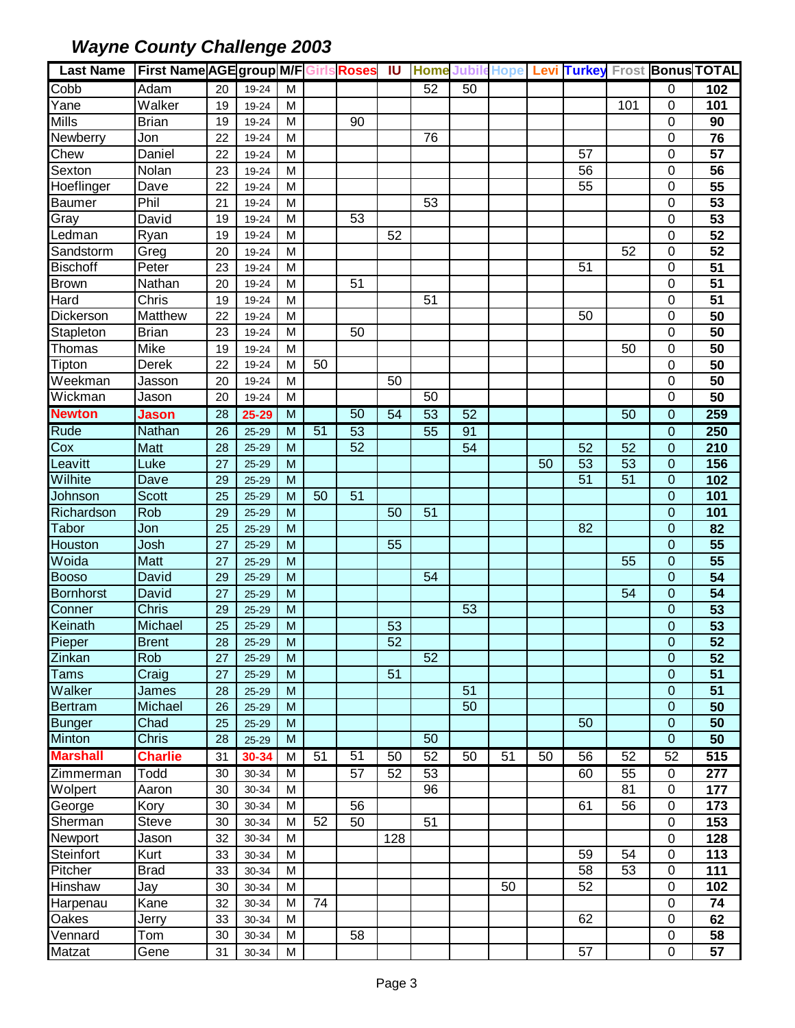| Last Name First Name AGE group M/F Girls Roses IU |                |                 |                |                |                 |                 |     |    |    |    |    |                 |     |                  | Home Jubile Hope Levi Turkey Frost Bonus TOTAL |
|---------------------------------------------------|----------------|-----------------|----------------|----------------|-----------------|-----------------|-----|----|----|----|----|-----------------|-----|------------------|------------------------------------------------|
| Cobb                                              | Adam           | 20              | 19-24          | M              |                 |                 |     | 52 | 50 |    |    |                 |     | 0                | 102                                            |
| Yane                                              | Walker         | 19              | 19-24          | M              |                 |                 |     |    |    |    |    |                 | 101 | $\mathbf 0$      | 101                                            |
| <b>Mills</b>                                      | <b>Brian</b>   | 19              | 19-24          | M              |                 | 90              |     |    |    |    |    |                 |     | $\mathbf 0$      | 90                                             |
| <b>Newberry</b>                                   | Jon            | 22              | 19-24          | M              |                 |                 |     | 76 |    |    |    |                 |     | $\mathbf 0$      | 76                                             |
| Chew                                              | Daniel         | 22              | 19-24          | M              |                 |                 |     |    |    |    |    | 57              |     | $\mathbf 0$      | 57                                             |
| Sexton                                            | Nolan          | 23              | 19-24          | M              |                 |                 |     |    |    |    |    | 56              |     | $\mathbf 0$      | 56                                             |
| Hoeflinger                                        | Dave           | 22              | 19-24          | M              |                 |                 |     |    |    |    |    | 55              |     | $\mathbf 0$      | 55                                             |
| <b>Baumer</b>                                     | Phil           | 21              | 19-24          | M              |                 |                 |     | 53 |    |    |    |                 |     | $\mathbf 0$      | 53                                             |
| Gray                                              | David          | 19              | 19-24          | м              |                 | 53              |     |    |    |    |    |                 |     | 0                | 53                                             |
| Ledman                                            | Ryan           | 19              | 19-24          | м              |                 |                 | 52  |    |    |    |    |                 |     | $\mathbf 0$      | 52                                             |
| Sandstorm                                         | Greg           | 20              | 19-24          | M              |                 |                 |     |    |    |    |    |                 | 52  | 0                | 52                                             |
| <b>Bischoff</b>                                   | Peter          | 23              | 19-24          | M              |                 |                 |     |    |    |    |    | 51              |     | $\mathbf 0$      | 51                                             |
| <b>Brown</b>                                      | Nathan         | 20              | 19-24          | M              |                 | 51              |     |    |    |    |    |                 |     | $\mathbf 0$      | 51                                             |
| Hard                                              | Chris          | 19              | 19-24          | M              |                 |                 |     | 51 |    |    |    |                 |     | $\mathbf 0$      | 51                                             |
| Dickerson                                         | Matthew        | 22              | 19-24          | M              |                 |                 |     |    |    |    |    | 50              |     | $\mathbf 0$      | 50                                             |
| Stapleton                                         | <b>Brian</b>   | 23              | 19-24          | M              |                 | 50              |     |    |    |    |    |                 |     | $\mathbf 0$      | 50                                             |
| Thomas                                            | Mike           | 19              | 19-24          | M              |                 |                 |     |    |    |    |    |                 | 50  | $\mathbf 0$      | 50                                             |
| Tipton                                            | Derek          | 22              | 19-24          | M              | 50              |                 |     |    |    |    |    |                 |     | $\overline{0}$   | 50                                             |
| Weekman                                           | Jasson         | 20              | 19-24          | M              |                 |                 | 50  |    |    |    |    |                 |     | $\mathbf 0$      | 50                                             |
| Wickman                                           | Jason          | 20              | 19-24          | M              |                 |                 |     | 50 |    |    |    |                 |     | $\mathbf 0$      | 50                                             |
| <b>Newton</b>                                     | <b>Jason</b>   | 28              | 25-29          | M              |                 | 50              | 54  | 53 | 52 |    |    |                 | 50  | $\mathbf{0}$     | 259                                            |
| <b>Rude</b>                                       | Nathan         | 26              | $25 - 29$      | M              | $\overline{51}$ | 53              |     | 55 | 91 |    |    |                 |     | $\Omega$         | 250                                            |
| $\overline{\text{C}}$ ox                          | Matt           | 28              | $25 - 29$      | M              |                 | 52              |     |    | 54 |    |    | 52              | 52  | $\mathbf{0}$     | 210                                            |
| Leavitt                                           | Luke           | 27              | $25 - 29$      | M              |                 |                 |     |    |    |    | 50 | 53              | 53  | $\mathbf{0}$     | 156                                            |
| Wilhite                                           | Dave           | 29              | $25 - 29$      | M              |                 |                 |     |    |    |    |    | $\overline{51}$ | 51  | $\mathbf 0$      | 102                                            |
| Johnson                                           | <b>Scott</b>   | 25              | $25 - 29$      | M              | 50              | 51              |     |    |    |    |    |                 |     | $\Omega$         | 101                                            |
| Richardson                                        | Rob            | 29              | 25-29          | M              |                 |                 | 50  | 51 |    |    |    |                 |     | $\overline{0}$   | 101                                            |
| <b>Tabor</b>                                      | Jon            | 25              | 25-29          | M              |                 |                 |     |    |    |    |    | 82              |     | $\overline{0}$   | 82                                             |
| Houston                                           | Josh           | 27              | 25-29          | M              |                 |                 | 55  |    |    |    |    |                 |     | $\mathbf{0}$     | 55                                             |
| Woida                                             | Matt           | 27              | 25-29          | M              |                 |                 |     |    |    |    |    |                 | 55  | 0                | 55                                             |
| <b>Booso</b>                                      | David          | 29              | $25 - 29$      | M              |                 |                 |     | 54 |    |    |    |                 |     | 0                | 54                                             |
| <b>Bornhorst</b>                                  | David          | 27              | $25 - 29$      | M              |                 |                 |     |    |    |    |    |                 | 54  | $\mathbf 0$      | 54                                             |
| Conner                                            | <b>Chris</b>   | 29              | $25 - 29$      | M              |                 |                 |     |    | 53 |    |    |                 |     | 0                | 53                                             |
| Keinath                                           | Michael        | 25              | $25 - 29$      | M              |                 |                 | 53  |    |    |    |    |                 |     | $\mathbf 0$      | $\overline{53}$                                |
| Pieper                                            | <b>Brent</b>   | $\overline{28}$ | 25-29          | $\overline{M}$ |                 |                 | 52  |    |    |    |    |                 |     | $\boldsymbol{0}$ | $\overline{52}$                                |
| Zinkan                                            | Rob            | 27              | $25 - 29$      | M              |                 |                 |     | 52 |    |    |    |                 |     | $\mathbf{0}$     | 52                                             |
| <b>Tams</b>                                       | Craig          | 27              | $25 - 29$      | M              |                 |                 | 51  |    |    |    |    |                 |     | $\mathbf{0}$     | 51                                             |
| Walker                                            | James          | 28              | 25-29          | M              |                 |                 |     |    | 51 |    |    |                 |     | $\mathbf 0$      | 51                                             |
| Bertram                                           | Michael        | 26              | 25-29          | M              |                 |                 |     |    | 50 |    |    |                 |     | $\mathbf 0$      | 50                                             |
| <b>Bunger</b>                                     | Chad           | 25              | 25-29          | M              |                 |                 |     |    |    |    |    | 50              |     | $\mathbf 0$      | 50                                             |
| <b>Minton</b>                                     | Chris          | 28              | 25-29          | M              |                 |                 |     | 50 |    |    |    |                 |     | $\overline{0}$   | 50                                             |
| <b>Marshall</b>                                   | <b>Charlie</b> | 31              | 30-34          | M              | 51              | $\overline{51}$ | 50  | 52 | 50 | 51 | 50 | 56              | 52  | 52               | 515                                            |
| Zimmerman                                         | Todd           | 30              | 30-34          | M              |                 | 57              | 52  | 53 |    |    |    | 60              | 55  | $\pmb{0}$        | 277                                            |
| Wolpert                                           | Aaron          | 30              | 30-34          | M              |                 |                 |     | 96 |    |    |    |                 | 81  | $\mathbf 0$      | 177                                            |
| George                                            | Kory           | 30              | 30-34          | M              |                 | 56              |     |    |    |    |    | 61              | 56  | $\mathbf 0$      | 173                                            |
| Sherman                                           | Steve          | 30              | 30-34          | M              | 52              | 50              |     | 51 |    |    |    |                 |     | $\mathbf 0$      | 153                                            |
| Newport                                           | Jason          | 32              | 30-34          | M              |                 |                 | 128 |    |    |    |    |                 |     | $\mathbf 0$      | 128                                            |
| Steinfort                                         | Kurt           | 33              | 30-34          | M              |                 |                 |     |    |    |    |    | 59              | 54  | $\mathbf 0$      | 113                                            |
| Pitcher                                           | <b>Brad</b>    | 33              | 30-34          | M              |                 |                 |     |    |    |    |    | 58              | 53  | $\mathbf 0$      | 111                                            |
| <b>Hinshaw</b>                                    | Jay            | 30              | 30-34          | M              |                 |                 |     |    |    | 50 |    | 52              |     | $\mathbf 0$      | 102                                            |
| Harpenau                                          | Kane           | 32              | 30-34          | M              | 74              |                 |     |    |    |    |    |                 |     | $\mathbf 0$      | 74                                             |
| Oakes                                             |                | 33              |                |                |                 |                 |     |    |    |    |    | 62              |     | $\mathbf 0$      | 62                                             |
| Vennard                                           | Jerry          | 30              | 30-34<br>30-34 | M<br>M         |                 | 58              |     |    |    |    |    |                 |     |                  |                                                |
| Matzat                                            | Tom            |                 |                | M              |                 |                 |     |    |    |    |    | 57              |     | $\pmb{0}$<br>0   | 58                                             |
|                                                   | Gene           | 31              | 30-34          |                |                 |                 |     |    |    |    |    |                 |     |                  | 57                                             |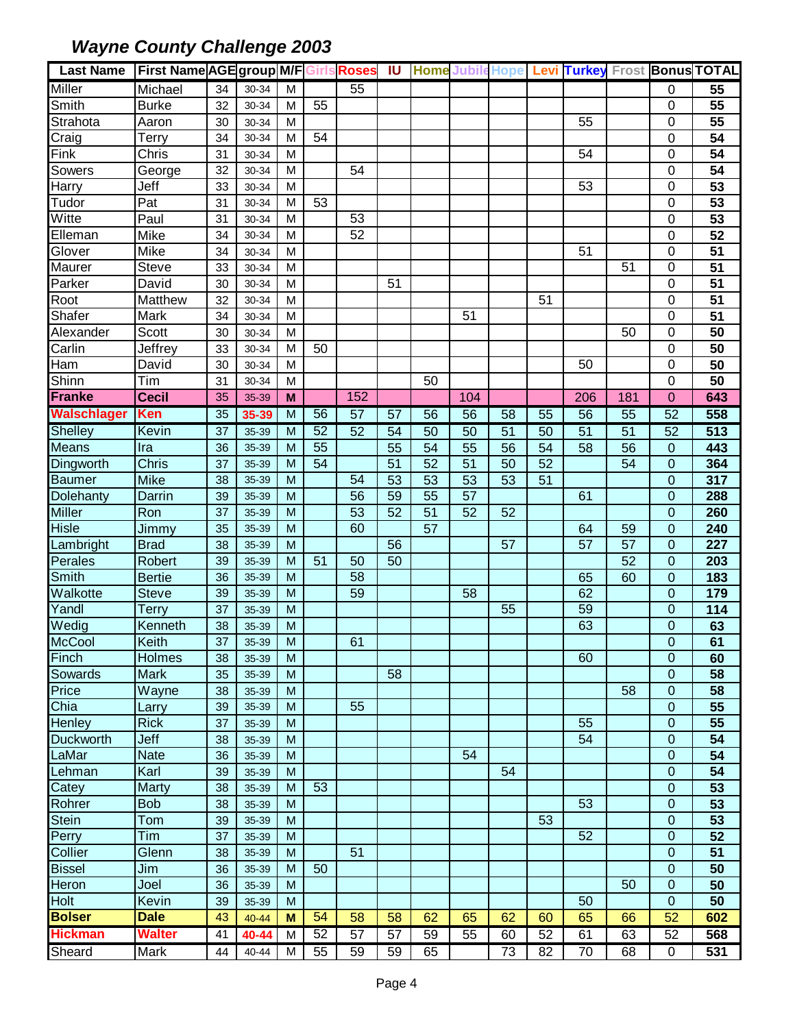| <b>Last Name</b>       | <b>First Name AGE group M/F Girls Roses IU</b> |                 |           |                |    |                 |    |    |     |                 |                 |                 |                 |                | <b>Home Jubile Hope Levi Turkey Frost Bonus TOTAL</b> |
|------------------------|------------------------------------------------|-----------------|-----------|----------------|----|-----------------|----|----|-----|-----------------|-----------------|-----------------|-----------------|----------------|-------------------------------------------------------|
| <b>Miller</b>          | Michael                                        | 34              | 30-34     | M              |    | 55              |    |    |     |                 |                 |                 |                 | 0              | 55                                                    |
| Smith                  | <b>Burke</b>                                   | 32              | 30-34     | M              | 55 |                 |    |    |     |                 |                 |                 |                 | $\mathbf 0$    | 55                                                    |
| Strahota               | Aaron                                          | 30              | 30-34     | M              |    |                 |    |    |     |                 |                 | 55              |                 | $\mathbf 0$    | 55                                                    |
| Craig                  | Terry                                          | 34              | 30-34     | M              | 54 |                 |    |    |     |                 |                 |                 |                 | $\mathbf 0$    | 54                                                    |
| Fink                   | Chris                                          | 31              | 30-34     | M              |    |                 |    |    |     |                 |                 | 54              |                 | 0              | $\overline{54}$                                       |
| Sowers                 | George                                         | 32              | 30-34     | M              |    | 54              |    |    |     |                 |                 |                 |                 | $\mathbf 0$    | 54                                                    |
| Harry                  | Jeff                                           | 33              | 30-34     | M              |    |                 |    |    |     |                 |                 | 53              |                 | $\mathbf 0$    | 53                                                    |
| Tudor                  | Pat                                            | 31              | 30-34     | M              | 53 |                 |    |    |     |                 |                 |                 |                 | $\mathbf 0$    | 53                                                    |
| Witte                  | Paul                                           | 31              | 30-34     | M              |    | 53              |    |    |     |                 |                 |                 |                 | 0              | 53                                                    |
| Elleman                | Mike                                           | 34              | 30-34     | м              |    | 52              |    |    |     |                 |                 |                 |                 | 0              | 52                                                    |
| Glover                 | Mike                                           | 34              | 30-34     | м              |    |                 |    |    |     |                 |                 | 51              |                 | $\mathbf 0$    | 51                                                    |
| <b>Maurer</b>          | Steve                                          | 33              | 30-34     | M              |    |                 |    |    |     |                 |                 |                 | 51              | $\mathbf 0$    | $\overline{51}$                                       |
| Parker                 | David                                          | 30              | 30-34     | M              |    |                 | 51 |    |     |                 |                 |                 |                 | $\mathbf 0$    | 51                                                    |
| Root                   | Matthew                                        | 32              | 30-34     | M              |    |                 |    |    |     |                 | 51              |                 |                 | 0              | 51                                                    |
| Shafer                 | Mark                                           | 34              | 30-34     | M              |    |                 |    |    | 51  |                 |                 |                 |                 | $\mathbf 0$    | 51                                                    |
| Alexander              | Scott                                          | 30              | 30-34     | M              |    |                 |    |    |     |                 |                 |                 | 50              | $\mathbf 0$    | 50                                                    |
| Carlin                 | Jeffrey                                        | 33              | 30-34     | M              | 50 |                 |    |    |     |                 |                 |                 |                 | $\mathbf 0$    | 50                                                    |
| Ham                    | David                                          | 30              | 30-34     | M              |    |                 |    |    |     |                 |                 | 50              |                 | $\mathbf 0$    | 50                                                    |
| Shinn                  | Tim                                            | 31              | 30-34     | M              |    |                 |    | 50 |     |                 |                 |                 |                 | $\mathbf 0$    | $\overline{50}$                                       |
| <b>Franke</b>          | <b>Cecil</b>                                   | 35              | 35-39     | M              |    | 152             |    |    | 104 |                 |                 | 206             | 181             | 0              | 643                                                   |
| <b>Walschlager</b>     | <b>Ken</b>                                     | 35              | 35-39     | M              | 56 | $\overline{57}$ | 57 | 56 | 56  | 58              | $\overline{55}$ | $\overline{56}$ | 55              | 52             | 558                                                   |
| <b>Shelley</b>         | Kevin                                          | 37              | 35-39     | M              | 52 | 52              | 54 | 50 | 50  | $\overline{51}$ | 50              | $\overline{51}$ | $\overline{51}$ | 52             | 513                                                   |
| Means                  | Ira                                            | 36              | 35-39     | M              | 55 |                 | 55 | 54 | 55  | 56              | 54              | 58              | 56              | $\mathbf 0$    | 443                                                   |
| <b>Dingworth</b>       | <b>Chris</b>                                   | 37              | 35-39     | M              | 54 |                 | 51 | 52 | 51  | 50              | 52              |                 | 54              | $\mathbf{0}$   | 364                                                   |
| <b>Baumer</b>          | <b>Mike</b>                                    | 38              | 35-39     | M              |    | 54              | 53 | 53 | 53  | 53              | 51              |                 |                 | $\Omega$       | 317                                                   |
| Dolehanty              | Darrin                                         | 39              | 35-39     | M              |    | 56              | 59 | 55 | 57  |                 |                 | 61              |                 | $\Omega$       | 288                                                   |
| <b>Miller</b>          | Ron                                            | 37              | 35-39     | M              |    | 53              | 52 | 51 | 52  | 52              |                 |                 |                 | $\Omega$       | 260                                                   |
| <b>Hisle</b>           | Jimmy                                          | 35              | 35-39     | M              |    | 60              |    | 57 |     |                 |                 | 64              | 59              | $\overline{0}$ | 240                                                   |
| Lambright              | <b>Brad</b>                                    | 38              | 35-39     | M              |    |                 | 56 |    |     | 57              |                 | 57              | 57              | $\mathbf 0$    | 227                                                   |
| Perales                | Robert                                         | 39              | 35-39     | M              | 51 | 50              | 50 |    |     |                 |                 |                 | 52              | $\mathbf 0$    | 203                                                   |
| Smith                  | <b>Bertie</b>                                  | 36              | 35-39     | M              |    | 58              |    |    |     |                 |                 | 65              | 60              | 0              | 183                                                   |
| Walkotte               | <b>Steve</b>                                   | 39              | 35-39     | M              |    | 59              |    |    | 58  |                 |                 | 62              |                 | $\mathbf 0$    | 179                                                   |
| Yandl                  | <b>Terry</b>                                   | 37              | 35-39     | M              |    |                 |    |    |     | 55              |                 | 59              |                 | $\mathbf{0}$   | 114                                                   |
| Wedig                  | Kenneth                                        | 38              | 35-39     | M              |    |                 |    |    |     |                 |                 | 63              |                 | $\mathbf 0$    | 63                                                    |
| McCool                 | Keith                                          | $\overline{37}$ | 35-39     | $\overline{M}$ |    | 61              |    |    |     |                 |                 |                 |                 | $\pmb{0}$      | 61                                                    |
| Finch                  | Holmes                                         | 38              | 35-39     | M              |    |                 |    |    |     |                 |                 | 60              |                 | 0              | 60                                                    |
| Sowards                | <b>Mark</b>                                    | 35              | 35-39     | м              |    |                 | 58 |    |     |                 |                 |                 |                 | 0              | 58                                                    |
| Price                  | Wayne                                          | 38              | 35-39     | M              |    |                 |    |    |     |                 |                 |                 | 58              | 0              | 58                                                    |
| Chia                   | Larry                                          | 39              | 35-39     | M              |    | 55              |    |    |     |                 |                 |                 |                 | 0              | 55                                                    |
| Henley                 | <b>Rick</b>                                    | 37              | 35-39     | M              |    |                 |    |    |     |                 |                 | 55              |                 | 0              | 55                                                    |
| <b>Duckworth</b>       | Jeff                                           | 38              | 35-39     | M              |    |                 |    |    |     |                 |                 | 54              |                 | $\mathbf 0$    | $\overline{54}$                                       |
| LaMar                  | <b>Nate</b>                                    | 36              | 35-39     | M              |    |                 |    |    | 54  |                 |                 |                 |                 | $\mathbf 0$    | 54                                                    |
| Lehman                 | Karl                                           | 39              | 35-39     | M              |    |                 |    |    |     | 54              |                 |                 |                 | 0              | 54                                                    |
| Catey                  | <b>Marty</b>                                   | 38              | 35-39     | M              | 53 |                 |    |    |     |                 |                 |                 |                 | $\mathbf 0$    | 53                                                    |
| Rohrer                 | <b>Bob</b>                                     | 38              | 35-39     | M              |    |                 |    |    |     |                 |                 | 53              |                 | 0              | 53                                                    |
| Stein                  | Tom                                            | 39              | 35-39     | M              |    |                 |    |    |     |                 | 53              |                 |                 | 0              | 53                                                    |
| Perry                  | Tim                                            | 37              | 35-39     | M              |    |                 |    |    |     |                 |                 | 52              |                 | $\mathbf 0$    | 52                                                    |
| Collier                | Glenn                                          | 38              | 35-39     | M              |    | 51              |    |    |     |                 |                 |                 |                 | $\mathbf 0$    | 51                                                    |
|                        | Jim                                            |                 |           | M              | 50 |                 |    |    |     |                 |                 |                 |                 |                |                                                       |
| <b>Bissel</b><br>Heron |                                                | 36              | 35-39     | M              |    |                 |    |    |     |                 |                 |                 | 50              | 0<br>0         | 50                                                    |
| Holt                   | Joel<br>Kevin                                  | 36<br>39        | 35-39     | M              |    |                 |    |    |     |                 |                 | 50              |                 | $\mathbf 0$    | 50<br>50                                              |
| <b>Bolser</b>          | <b>Dale</b>                                    | 43              | 35-39     | M              | 54 |                 |    |    |     |                 |                 |                 |                 | 52             |                                                       |
| <b>Hickman</b>         |                                                |                 | $40 - 44$ |                |    | 58              | 58 | 62 | 65  | 62              | 60              | 65              | 66              |                | 602                                                   |
|                        | <b>Walter</b>                                  | 41              | 40-44     | M              | 52 | 57              | 57 | 59 | 55  | 60              | 52              | 61              | 63              | 52             | 568                                                   |
| Sheard                 | Mark                                           | 44              | 40-44     | M              | 55 | 59              | 59 | 65 |     | 73              | 82              | 70              | 68              | 0              | 531                                                   |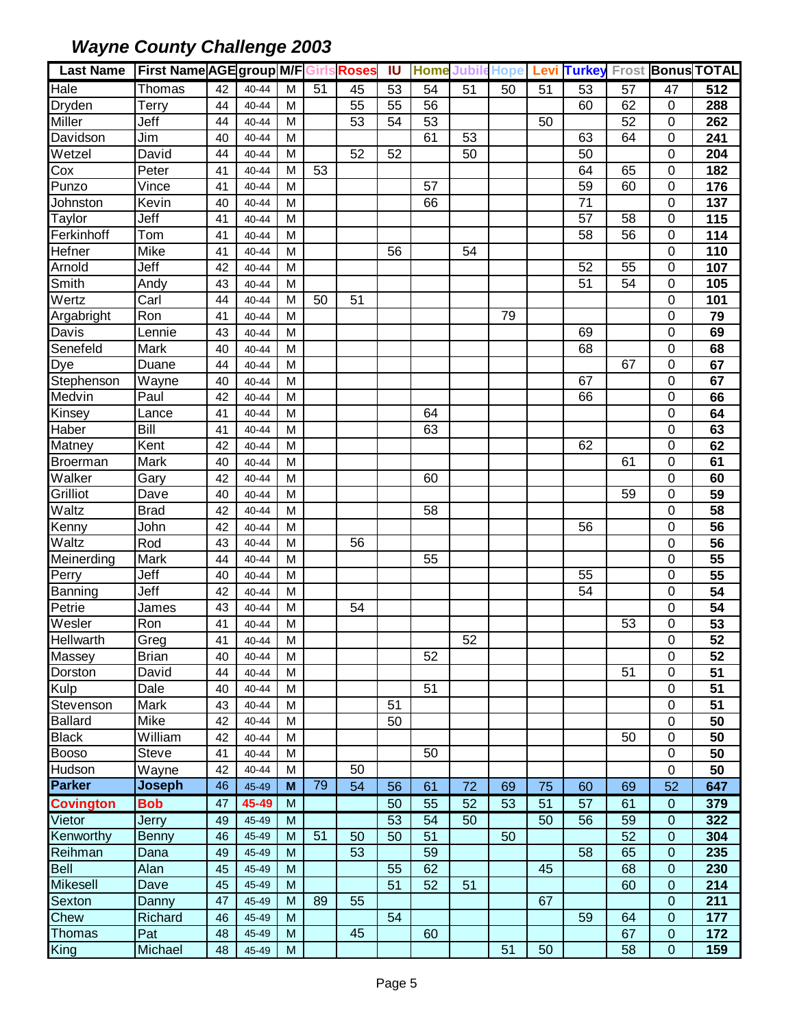| Last Name   First Name AGE group M/F Girls Roses |                  |          |           |   |    |    | IU | <b>Home Jubile Hope</b> |    |    |    |                 |    |                | Levi Turkey Frost Bonus TOTAL |
|--------------------------------------------------|------------------|----------|-----------|---|----|----|----|-------------------------|----|----|----|-----------------|----|----------------|-------------------------------|
| Hale                                             | Thomas           | 42       | 40-44     | M | 51 | 45 | 53 | 54                      | 51 | 50 | 51 | 53              | 57 | 47             | 512                           |
| Dryden                                           | Terry            | 44       | $40 - 44$ | M |    | 55 | 55 | 56                      |    |    |    | 60              | 62 | $\mathbf 0$    | 288                           |
| <b>Miller</b>                                    | Jeff             | 44       | 40-44     | M |    | 53 | 54 | 53                      |    |    | 50 |                 | 52 | $\mathbf 0$    | 262                           |
| Davidson                                         | Jim              | 40       | 40-44     | M |    |    |    | 61                      | 53 |    |    | 63              | 64 | $\mathbf 0$    | 241                           |
| Wetzel                                           | David            | 44       | 40-44     | M |    | 52 | 52 |                         | 50 |    |    | 50              |    | $\mathbf 0$    | 204                           |
| Cox                                              | Peter            | 41       | 40-44     | M | 53 |    |    |                         |    |    |    | 64              | 65 | $\mathbf 0$    | 182                           |
| Punzo                                            | Vince            | 41       | 40-44     | M |    |    |    | 57                      |    |    |    | 59              | 60 | $\mathbf 0$    | 176                           |
| Johnston                                         | Kevin            | 40       | 40-44     | M |    |    |    | 66                      |    |    |    | 71              |    | $\mathbf 0$    | 137                           |
| Taylor                                           | Jeff             | 41       | 40-44     | M |    |    |    |                         |    |    |    | 57              | 58 | $\mathbf 0$    | 115                           |
| Ferkinhoff                                       | Tom              | 41       | 40-44     | M |    |    |    |                         |    |    |    | 58              | 56 | $\Omega$       | 114                           |
| Hefner                                           | Mike             | 41       | 40-44     | M |    |    | 56 |                         | 54 |    |    |                 |    | $\mathbf 0$    | 110                           |
| Arnold                                           | Jeff             | 42       | 40-44     | M |    |    |    |                         |    |    |    | 52              | 55 | $\mathbf 0$    | 107                           |
| Smith                                            | Andy             | 43       | 40-44     | M |    |    |    |                         |    |    |    | 51              | 54 | $\mathbf 0$    | 105                           |
| Wertz                                            | Carl             | 44       | 40-44     | M | 50 | 51 |    |                         |    |    |    |                 |    | $\overline{0}$ | 101                           |
| Argabright                                       | Ron              | 41       | 40-44     | M |    |    |    |                         |    | 79 |    |                 |    | $\mathbf 0$    | 79                            |
| Davis                                            | Lennie           | 43       | 40-44     | M |    |    |    |                         |    |    |    | 69              |    | $\mathbf 0$    | 69                            |
| Senefeld                                         | Mark             | 40       | 40-44     | M |    |    |    |                         |    |    |    | 68              |    | $\mathbf 0$    | 68                            |
| Dye                                              | Duane            | 44       | 40-44     | M |    |    |    |                         |    |    |    |                 | 67 | $\mathbf 0$    | 67                            |
| Stephenson                                       | Wayne            | 40       | 40-44     | M |    |    |    |                         |    |    |    | 67              |    | $\mathbf 0$    | 67                            |
| Medvin                                           | Paul             | 42       | 40-44     | M |    |    |    |                         |    |    |    | 66              |    | $\mathbf 0$    | 66                            |
| Kinsey                                           | Lance            | 41       | 40-44     | M |    |    |    | 64                      |    |    |    |                 |    | $\mathbf 0$    | 64                            |
| Haber                                            | Bill             | 41       | $40 - 44$ | M |    |    |    | 63                      |    |    |    |                 |    | $\mathbf 0$    | 63                            |
| Matney                                           | Kent             | 42       | 40-44     | M |    |    |    |                         |    |    |    | 62              |    | $\mathbf 0$    | 62                            |
| <b>Broerman</b>                                  | Mark             | 40       | 40-44     | M |    |    |    |                         |    |    |    |                 | 61 | $\mathbf 0$    | 61                            |
| Walker                                           | Gary             | 42       | 40-44     | M |    |    |    | 60                      |    |    |    |                 |    | $\mathbf 0$    | 60                            |
| Grilliot                                         | Dave             | 40       | 40-44     | M |    |    |    |                         |    |    |    |                 | 59 | $\overline{0}$ | $\overline{59}$               |
| Waltz                                            | <b>Brad</b>      | 42       | 40-44     | M |    |    |    | 58                      |    |    |    |                 |    | $\mathbf 0$    | 58                            |
| Kenny                                            | John             | 42       | 40-44     | M |    |    |    |                         |    |    |    | 56              |    | $\mathbf 0$    | 56                            |
| Waltz                                            | Rod              | 43       | 40-44     | M |    | 56 |    |                         |    |    |    |                 |    | 0              | 56                            |
| Meinerding                                       | Mark             | 44       | 40-44     | M |    |    |    | 55                      |    |    |    |                 |    | $\mathbf 0$    | $\overline{55}$               |
| Perry                                            | Jeff             | 40       | 40-44     | M |    |    |    |                         |    |    |    | 55              |    | $\mathbf 0$    | 55                            |
| Banning                                          | Jeff             | 42       | 40-44     | M |    |    |    |                         |    |    |    | $\overline{54}$ |    | $\mathbf 0$    | 54                            |
| Petrie                                           | James            | 43       | 40-44     | M |    | 54 |    |                         |    |    |    |                 |    | $\mathbf 0$    | 54                            |
| Wesler                                           | Ron              | 41       | 40-44     | M |    |    |    |                         |    |    |    |                 | 53 | 0              | 53                            |
| Hellwarth                                        | Greg             | 41       | 40-44     | М |    |    |    |                         | 52 |    |    |                 |    | $\mathbf 0$    | 52                            |
| Massey                                           | <b>Brian</b>     | 40       | $40 - 44$ | M |    |    |    | 52                      |    |    |    |                 |    | $\mathbf 0$    | 52                            |
| Dorston                                          | David            | 44       | 40-44     | M |    |    |    |                         |    |    |    |                 | 51 | 0              | 51                            |
| Kulp                                             | Dale             | 40       | 40-44     | M |    |    |    | 51                      |    |    |    |                 |    | $\mathbf 0$    | 51                            |
| Stevenson                                        | Mark             | 43       | 40-44     | M |    |    | 51 |                         |    |    |    |                 |    | $\mathbf 0$    | 51                            |
| <b>Ballard</b>                                   | Mike             | 42       | 40-44     | M |    |    | 50 |                         |    |    |    |                 |    | $\mathbf 0$    | 50                            |
| <b>Black</b>                                     | William          | 42       | $40 - 44$ | M |    |    |    |                         |    |    |    |                 | 50 | $\mathbf 0$    | 50                            |
| <b>Booso</b>                                     | <b>Steve</b>     | 41       | 40-44     | M |    |    |    | 50                      |    |    |    |                 |    | $\mathbf 0$    | 50                            |
| Hudson                                           | Wayne            | 42       | 40-44     | M |    | 50 |    |                         |    |    |    |                 |    | $\mathbf 0$    | 50                            |
| Parker                                           | <b>Joseph</b>    | 46       | 45-49     | M | 79 | 54 | 56 | 61                      | 72 | 69 | 75 | 60              | 69 | 52             | 647                           |
| <b>Covington</b>                                 | <b>Bob</b>       | 47       | 45-49     | M |    |    | 50 | 55                      | 52 | 53 | 51 | 57              | 61 | $\mathbf 0$    | 379                           |
| Vietor                                           | Jerry            | 49       | 45-49     | M |    |    | 53 | 54                      | 50 |    | 50 | 56              | 59 | $\mathbf 0$    | 322                           |
| Kenworthy                                        | <b>Benny</b>     | 46       | 45-49     | M | 51 | 50 | 50 | 51                      |    | 50 |    |                 | 52 | $\mathbf 0$    | 304                           |
| Reihman                                          | Dana             | 49       | 45-49     | M |    | 53 |    | 59                      |    |    |    | 58              | 65 | $\mathbf 0$    | 235                           |
| <b>Bell</b>                                      | Alan             | 45       | 45-49     | M |    |    | 55 | 62                      |    |    | 45 |                 | 68 | $\mathbf 0$    | 230                           |
| <b>Mikesell</b>                                  | Dave             | 45       | 45-49     | M |    |    | 51 | 52                      | 51 |    |    |                 | 60 | $\mathbf 0$    | 214                           |
| Sexton                                           |                  | 47       | 45-49     | M | 89 | 55 |    |                         |    |    | 67 |                 |    | $\mathbf 0$    | 211                           |
| Chew                                             | Danny<br>Richard |          | 45-49     | M |    |    | 54 |                         |    |    |    | 59              | 64 | $\mathbf 0$    | 177                           |
| <b>Thomas</b>                                    |                  | 46<br>48 |           | M |    | 45 |    |                         |    |    |    |                 | 67 | $\mathbf 0$    |                               |
|                                                  | Pat              |          | 45-49     |   |    |    |    | 60                      |    | 51 | 50 |                 |    | $\mathbf 0$    | 172                           |
| <b>King</b>                                      | Michael          | 48       | 45-49     | M |    |    |    |                         |    |    |    |                 | 58 |                | 159                           |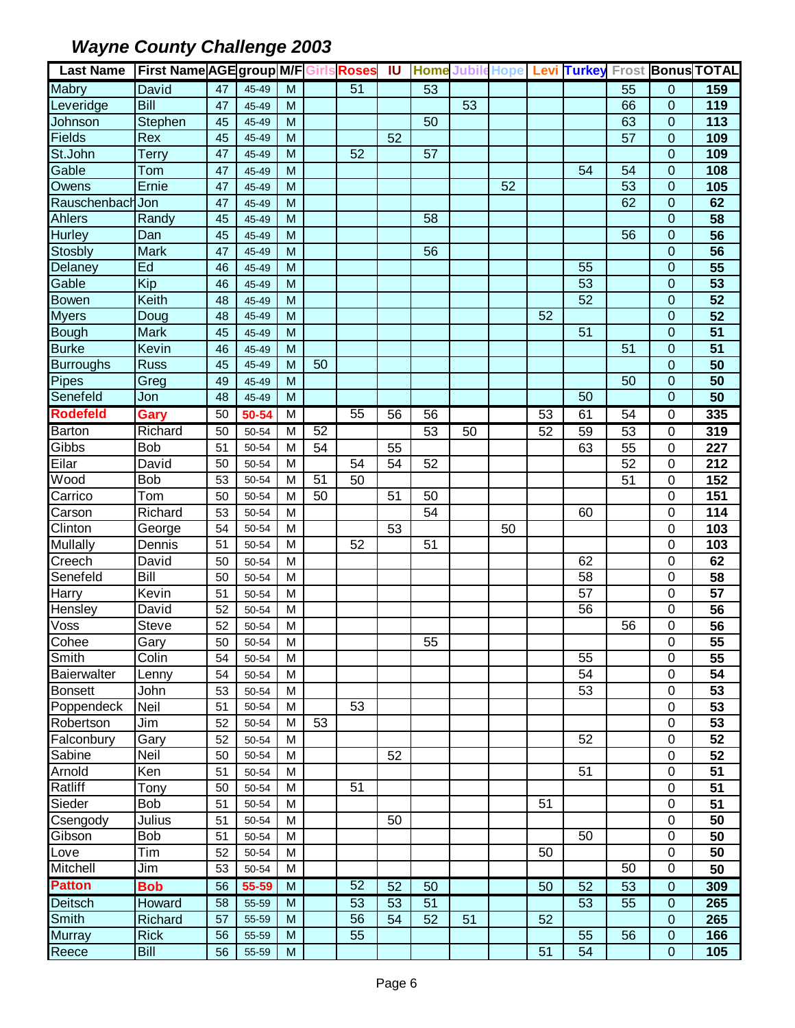| <b>Last Name</b> | <b>First Name AGE group M/F Girls Roses</b> |    |       |   |    |    | <b>IU</b> |    |    |    |    |                 |                 |                | Home Jubile Hope Levi Turkey Frost Bonus TOTAL |
|------------------|---------------------------------------------|----|-------|---|----|----|-----------|----|----|----|----|-----------------|-----------------|----------------|------------------------------------------------|
| Mabry            | David                                       | 47 | 45-49 | M |    | 51 |           | 53 |    |    |    |                 | 55              | $\mathbf{0}$   | 159                                            |
| Leveridge        | Bill                                        | 47 | 45-49 | M |    |    |           |    | 53 |    |    |                 | 66              | $\mathbf{0}$   | 119                                            |
| Johnson          | Stephen                                     | 45 | 45-49 | M |    |    |           | 50 |    |    |    |                 | 63              | $\overline{0}$ | 113                                            |
| Fields           | Rex                                         | 45 | 45-49 | M |    |    | 52        |    |    |    |    |                 | 57              | $\mathbf{0}$   | 109                                            |
| St.John          | Terry                                       | 47 | 45-49 | M |    | 52 |           | 57 |    |    |    |                 |                 | $\Omega$       | 109                                            |
| Gable            | Tom                                         | 47 | 45-49 | M |    |    |           |    |    |    |    | 54              | 54              | $\overline{0}$ | 108                                            |
| Owens            | Ernie                                       | 47 | 45-49 | M |    |    |           |    |    | 52 |    |                 | 53              | $\mathbf 0$    | 105                                            |
| Rauschenbach Jon |                                             | 47 | 45-49 | M |    |    |           |    |    |    |    |                 | 62              | $\mathbf 0$    | 62                                             |
| <b>Ahlers</b>    | Randy                                       | 45 | 45-49 | M |    |    |           | 58 |    |    |    |                 |                 | $\Omega$       | 58                                             |
| <b>Hurley</b>    | Dan                                         | 45 | 45-49 | M |    |    |           |    |    |    |    |                 | 56              | 0              | 56                                             |
| Stosbly          | <b>Mark</b>                                 | 47 | 45-49 | M |    |    |           | 56 |    |    |    |                 |                 | $\mathbf 0$    | 56                                             |
| Delaney          | Ed                                          | 46 | 45-49 | M |    |    |           |    |    |    |    | 55              |                 | $\overline{0}$ | $\overline{55}$                                |
| Gable            | Kip                                         | 46 | 45-49 | M |    |    |           |    |    |    |    | $\overline{53}$ |                 | $\mathbf 0$    | 53                                             |
| Bowen            | Keith                                       | 48 | 45-49 | M |    |    |           |    |    |    |    | 52              |                 | $\mathbf 0$    | $\overline{52}$                                |
| <b>Myers</b>     | Doug                                        | 48 | 45-49 | M |    |    |           |    |    |    | 52 |                 |                 | $\mathbf 0$    | 52                                             |
| <b>Bough</b>     | <b>Mark</b>                                 | 45 | 45-49 | M |    |    |           |    |    |    |    | 51              |                 | $\overline{0}$ | $\overline{51}$                                |
| <b>Burke</b>     | Kevin                                       | 46 | 45-49 | M |    |    |           |    |    |    |    |                 | 51              | $\mathbf 0$    | 51                                             |
| <b>Burroughs</b> | <b>Russ</b>                                 | 45 | 45-49 | M | 50 |    |           |    |    |    |    |                 |                 | $\mathbf{0}$   | 50                                             |
| <b>Pipes</b>     | Greg                                        | 49 | 45-49 | M |    |    |           |    |    |    |    |                 | 50              | $\mathbf 0$    | 50                                             |
| Senefeld         | Jon                                         | 48 | 45-49 | M |    |    |           |    |    |    |    | 50              |                 | $\overline{0}$ | $\overline{50}$                                |
| <b>Rodefeld</b>  | Gary                                        | 50 | 50-54 | M |    | 55 | 56        | 56 |    |    | 53 | 61              | 54              | $\Omega$       | 335                                            |
| <b>Barton</b>    | Richard                                     | 50 | 50-54 | M | 52 |    |           | 53 | 50 |    | 52 | 59              | 53              | $\mathbf 0$    | 319                                            |
| Gibbs            | Bob                                         | 51 | 50-54 | M | 54 |    | 55        |    |    |    |    | 63              | 55              | $\mathbf 0$    | 227                                            |
| Eilar            | David                                       | 50 | 50-54 | M |    | 54 | 54        | 52 |    |    |    |                 | 52              | $\mathbf 0$    | 212                                            |
| Wood             | <b>Bob</b>                                  | 53 | 50-54 | M | 51 | 50 |           |    |    |    |    |                 | 51              | $\mathbf 0$    | 152                                            |
| Carrico          | Tom                                         | 50 | 50-54 | M | 50 |    | 51        | 50 |    |    |    |                 |                 | $\mathbf 0$    | 151                                            |
| Carson           | Richard                                     | 53 | 50-54 | M |    |    |           | 54 |    |    |    | 60              |                 | 0              | 114                                            |
| Clinton          | George                                      | 54 | 50-54 | M |    |    | 53        |    |    | 50 |    |                 |                 | $\mathbf 0$    | 103                                            |
| <b>Mullally</b>  | Dennis                                      | 51 | 50-54 | M |    | 52 |           | 51 |    |    |    |                 |                 | $\mathbf 0$    | 103                                            |
| Creech           | David                                       | 50 | 50-54 | M |    |    |           |    |    |    |    | 62              |                 | $\mathbf 0$    | 62                                             |
| Senefeld         | Bill                                        | 50 | 50-54 | M |    |    |           |    |    |    |    | 58              |                 | 0              | 58                                             |
| Harry            | Kevin                                       | 51 | 50-54 | M |    |    |           |    |    |    |    | $\overline{57}$ |                 | $\mathbf 0$    | 57                                             |
| Hensley          | David                                       | 52 | 50-54 | м |    |    |           |    |    |    |    | 56              |                 | 0              | 56                                             |
| Voss             | Steve                                       | 52 | 50-54 | M |    |    |           |    |    |    |    |                 | 56              | 0              | $\overline{56}$                                |
| Cohee            | Gary                                        | 50 | 50-54 | M |    |    |           | 55 |    |    |    |                 |                 | 0              | $\overline{55}$                                |
| Smith            | Colin                                       | 54 | 50-54 | м |    |    |           |    |    |    |    | 55              |                 | 0              | 55                                             |
| Baierwalter      | Lenny                                       | 54 | 50-54 | M |    |    |           |    |    |    |    | 54              |                 | 0              | 54                                             |
| <b>Bonsett</b>   | John                                        | 53 | 50-54 | M |    |    |           |    |    |    |    | 53              |                 | 0              | 53                                             |
| Poppendeck       | Neil                                        | 51 | 50-54 | м |    | 53 |           |    |    |    |    |                 |                 | $\mathbf 0$    | 53                                             |
| Robertson        | Jim                                         | 52 | 50-54 | M | 53 |    |           |    |    |    |    |                 |                 | $\mathbf 0$    | 53                                             |
| Falconbury       | Gary                                        | 52 | 50-54 | M |    |    |           |    |    |    |    | 52              |                 | $\mathbf 0$    | 52                                             |
| Sabine           | Neil                                        | 50 | 50-54 | M |    |    | 52        |    |    |    |    |                 |                 | $\mathbf 0$    | 52                                             |
| Arnold           | Ken                                         | 51 | 50-54 | M |    |    |           |    |    |    |    | 51              |                 | $\mathbf 0$    | 51                                             |
| Ratliff          | Tony                                        | 50 | 50-54 | M |    | 51 |           |    |    |    |    |                 |                 | $\pmb{0}$      | 51                                             |
| Sieder           | Bob                                         | 51 | 50-54 | M |    |    |           |    |    |    | 51 |                 |                 | 0              | 51                                             |
| Csengody         | Julius                                      | 51 | 50-54 | M |    |    | 50        |    |    |    |    |                 |                 | $\pmb{0}$      | 50                                             |
| Gibson           | <b>Bob</b>                                  | 51 | 50-54 | M |    |    |           |    |    |    |    | 50              |                 | $\mathbf 0$    | 50                                             |
| Love             | Tim                                         | 52 | 50-54 | M |    |    |           |    |    |    | 50 |                 |                 | $\mathbf 0$    | 50                                             |
| <b>Mitchell</b>  | Jim                                         | 53 | 50-54 | M |    |    |           |    |    |    |    |                 | 50              | $\mathbf 0$    | 50                                             |
| <b>Patton</b>    | <b>Bob</b>                                  | 56 | 55-59 | M |    | 52 | 52        | 50 |    |    | 50 | 52              | $\overline{53}$ | $\mathbf 0$    | 309                                            |
| Deitsch          | Howard                                      | 58 | 55-59 | M |    | 53 | 53        | 51 |    |    |    | 53              | 55              | $\mathbf 0$    | 265                                            |
| Smith            | Richard                                     | 57 | 55-59 | M |    | 56 | 54        | 52 | 51 |    | 52 |                 |                 | $\mathbf 0$    | 265                                            |
| <b>Murray</b>    | <b>Rick</b>                                 | 56 | 55-59 | M |    | 55 |           |    |    |    |    | 55              | 56              | $\mathbf 0$    | 166                                            |
| Reece            | Bill                                        | 56 | 55-59 | M |    |    |           |    |    |    | 51 | 54              |                 | $\mathbf 0$    | 105                                            |